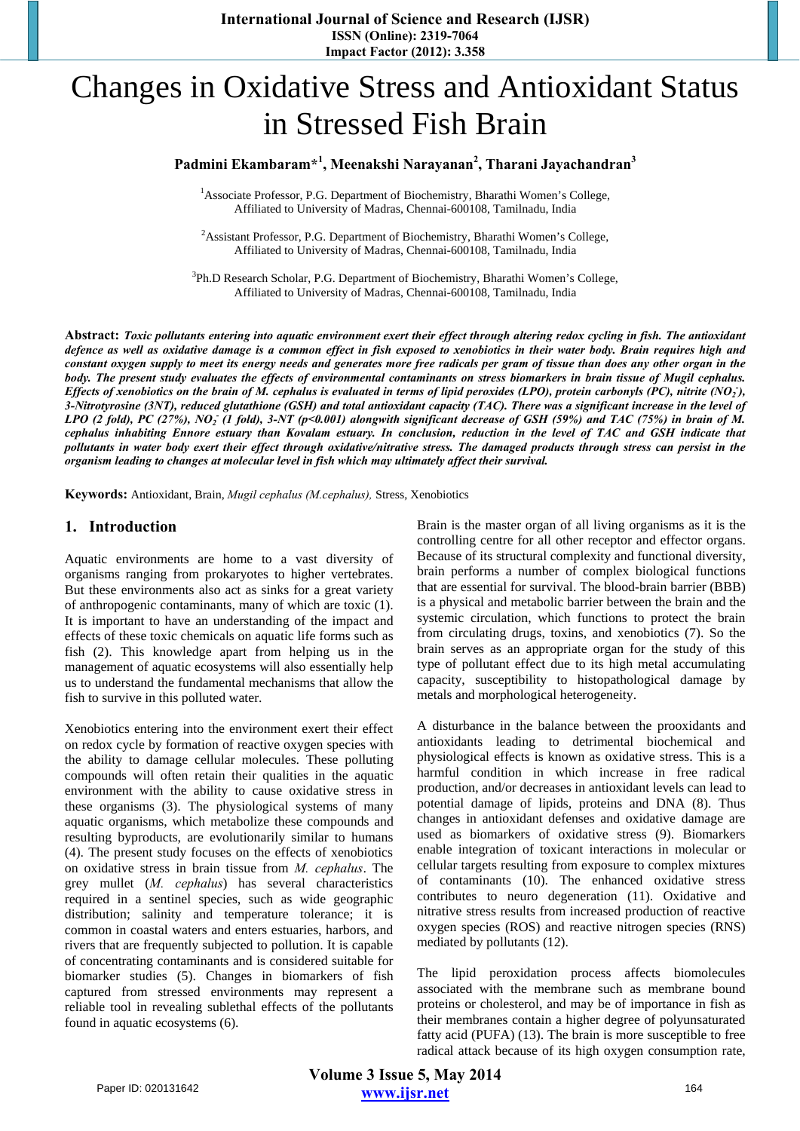# Changes in Oxidative Stress and Antioxidant Status in Stressed Fish Brain

## **Padmini Ekambaram\*<sup>1</sup> , Meenakshi Narayanan2 , Tharani Jayachandran<sup>3</sup>**

<sup>1</sup> Associate Professor, P.G. Department of Biochemistry, Bharathi Women's College, Affiliated to University of Madras, Chennai-600108, Tamilnadu, India

<sup>2</sup> Assistant Professor, P.G. Department of Biochemistry, Bharathi Women's College, Affiliated to University of Madras, Chennai-600108, Tamilnadu, India

<sup>3</sup>Ph.D Research Scholar, P.G. Department of Biochemistry, Bharathi Women's College, Affiliated to University of Madras, Chennai-600108, Tamilnadu, India

**Abstract:** *Toxic pollutants entering into aquatic environment exert their effect through altering redox cycling in fish. The antioxidant defence as well as oxidative damage is a common effect in fish exposed to xenobiotics in their water body. Brain requires high and constant oxygen supply to meet its energy needs and generates more free radicals per gram of tissue than does any other organ in the body. The present study evaluates the effects of environmental contaminants on stress biomarkers in brain tissue of Mugil cephalus. Effects of xenobiotics on the brain of M. cephalus is evaluated in terms of lipid peroxides (LPO), protein carbonyls (PC), nitrite (NO<sub>2</sub>), 3-Nitrotyrosine (3NT), reduced glutathione (GSH) and total antioxidant capacity (TAC). There was a significant increase in the level of*  LPO (2 fold), PC (27%), NO<sub>2</sub> (1 fold), 3-NT (p<0.001) alongwith significant decrease of GSH (59%) and TAC (75%) in brain of M. *cephalus inhabiting Ennore estuary than Kovalam estuary. In conclusion, reduction in the level of TAC and GSH indicate that pollutants in water body exert their effect through oxidative/nitrative stress. The damaged products through stress can persist in the organism leading to changes at molecular level in fish which may ultimately affect their survival.* 

**Keywords:** Antioxidant, Brain, *Mugil cephalus (M.cephalus),* Stress, Xenobiotics

## **1. Introduction**

Aquatic environments are home to a vast diversity of organisms ranging from prokaryotes to higher vertebrates. But these environments also act as sinks for a great variety of anthropogenic contaminants, many of which are toxic (1). It is important to have an understanding of the impact and effects of these toxic chemicals on aquatic life forms such as fish (2). This knowledge apart from helping us in the management of aquatic ecosystems will also essentially help us to understand the fundamental mechanisms that allow the fish to survive in this polluted water.

Xenobiotics entering into the environment exert their effect on redox cycle by formation of reactive oxygen species with the ability to damage cellular molecules. These polluting compounds will often retain their qualities in the aquatic environment with the ability to cause oxidative stress in these organisms (3). The physiological systems of many aquatic organisms, which metabolize these compounds and resulting byproducts, are evolutionarily similar to humans (4). The present study focuses on the effects of xenobiotics on oxidative stress in brain tissue from *M. cephalus*. The grey mullet (*M. cephalus*) has several characteristics required in a sentinel species, such as wide geographic distribution; salinity and temperature tolerance; it is common in coastal waters and enters estuaries, harbors, and rivers that are frequently subjected to pollution. It is capable of concentrating contaminants and is considered suitable for biomarker studies (5). Changes in biomarkers of fish captured from stressed environments may represent a reliable tool in revealing sublethal effects of the pollutants found in aquatic ecosystems (6).

Brain is the master organ of all living organisms as it is the controlling centre for all other receptor and effector organs. Because of its structural complexity and functional diversity, brain performs a number of complex biological functions that are essential for survival. The blood-brain barrier (BBB) is a physical and metabolic barrier between the brain and the systemic circulation, which functions to protect the brain from circulating drugs, toxins, and xenobiotics (7). So the brain serves as an appropriate organ for the study of this type of pollutant effect due to its high metal accumulating capacity, susceptibility to histopathological damage by metals and morphological heterogeneity.

A disturbance in the balance between the prooxidants and antioxidants leading to detrimental biochemical and physiological effects is known as oxidative stress. This is a harmful condition in which increase in free radical production, and/or decreases in antioxidant levels can lead to potential damage of lipids, proteins and DNA (8). Thus changes in antioxidant defenses and oxidative damage are used as biomarkers of oxidative stress (9). Biomarkers enable integration of toxicant interactions in molecular or cellular targets resulting from exposure to complex mixtures of contaminants (10). The enhanced oxidative stress contributes to neuro degeneration (11). Oxidative and nitrative stress results from increased production of reactive oxygen species (ROS) and reactive nitrogen species (RNS) mediated by pollutants (12).

The lipid peroxidation process affects biomolecules associated with the membrane such as membrane bound proteins or cholesterol, and may be of importance in fish as their membranes contain a higher degree of polyunsaturated fatty acid (PUFA) (13). The brain is more susceptible to free radical attack because of its high oxygen consumption rate,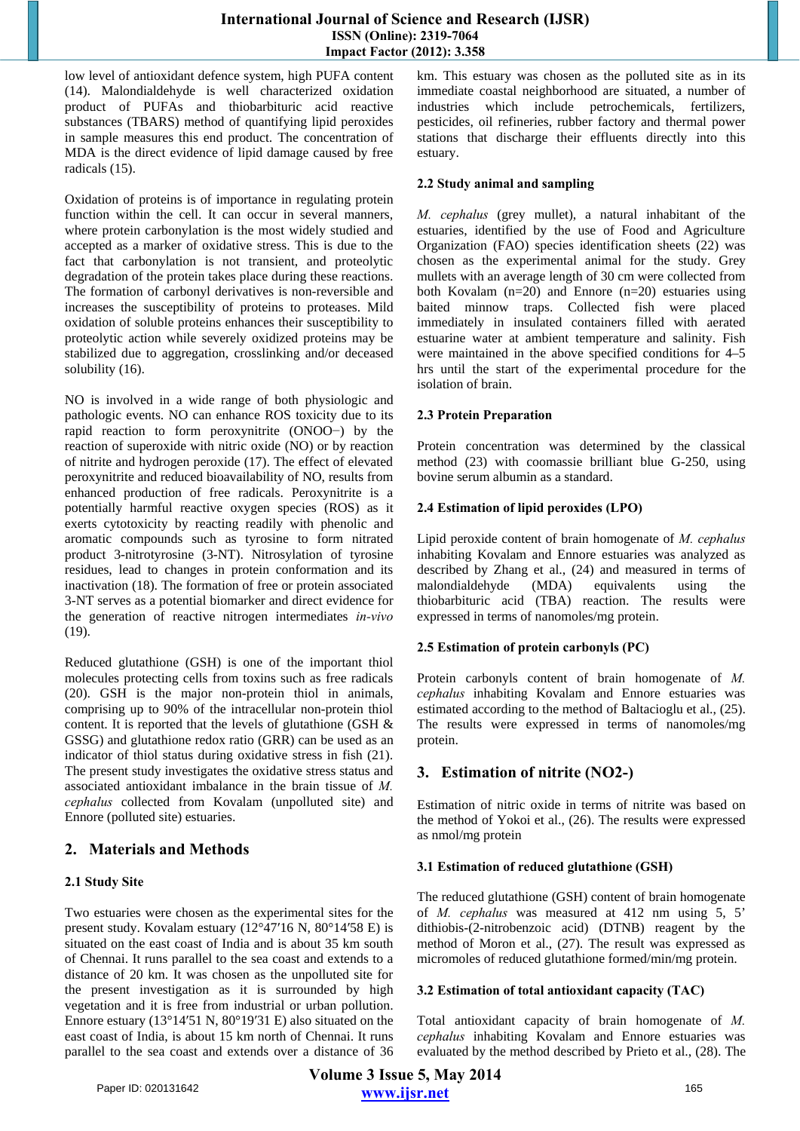## **International Journal of Science and Research (IJSR) ISSN (Online): 2319-7064 Impact Factor (2012): 3.358**

low level of antioxidant defence system, high PUFA content (14). Malondialdehyde is well characterized oxidation product of PUFAs and thiobarbituric acid reactive substances (TBARS) method of quantifying lipid peroxides in sample measures this end product. The concentration of MDA is the direct evidence of lipid damage caused by free radicals (15).

Oxidation of proteins is of importance in regulating protein function within the cell. It can occur in several manners, where protein carbonylation is the most widely studied and accepted as a marker of oxidative stress. This is due to the fact that carbonylation is not transient, and proteolytic degradation of the protein takes place during these reactions. The formation of carbonyl derivatives is non-reversible and increases the susceptibility of proteins to proteases. Mild oxidation of soluble proteins enhances their susceptibility to proteolytic action while severely oxidized proteins may be stabilized due to aggregation, crosslinking and/or deceased solubility (16).

NO is involved in a wide range of both physiologic and pathologic events. NO can enhance ROS toxicity due to its rapid reaction to form peroxynitrite (ONOO−) by the reaction of superoxide with nitric oxide (NO) or by reaction of nitrite and hydrogen peroxide (17). The effect of elevated peroxynitrite and reduced bioavailability of NO, results from enhanced production of free radicals. Peroxynitrite is a potentially harmful reactive oxygen species (ROS) as it exerts cytotoxicity by reacting readily with phenolic and aromatic compounds such as tyrosine to form nitrated product 3-nitrotyrosine (3-NT). Nitrosylation of tyrosine residues, lead to changes in protein conformation and its inactivation (18). The formation of free or protein associated 3-NT serves as a potential biomarker and direct evidence for the generation of reactive nitrogen intermediates *in-vivo* (19).

Reduced glutathione (GSH) is one of the important thiol molecules protecting cells from toxins such as free radicals (20). GSH is the major non-protein thiol in animals, comprising up to 90% of the intracellular non-protein thiol content. It is reported that the levels of glutathione (GSH & GSSG) and glutathione redox ratio (GRR) can be used as an indicator of thiol status during oxidative stress in fish (21). The present study investigates the oxidative stress status and associated antioxidant imbalance in the brain tissue of *M. cephalus* collected from Kovalam (unpolluted site) and Ennore (polluted site) estuaries.

# **2. Materials and Methods**

## **2.1 Study Site**

Two estuaries were chosen as the experimental sites for the present study. Kovalam estuary (12°47′16 N, 80°14′58 E) is situated on the east coast of India and is about 35 km south of Chennai. It runs parallel to the sea coast and extends to a distance of 20 km. It was chosen as the unpolluted site for the present investigation as it is surrounded by high vegetation and it is free from industrial or urban pollution. Ennore estuary (13°14′51 N, 80°19′31 E) also situated on the east coast of India, is about 15 km north of Chennai. It runs parallel to the sea coast and extends over a distance of 36 km. This estuary was chosen as the polluted site as in its immediate coastal neighborhood are situated, a number of industries which include petrochemicals, fertilizers, pesticides, oil refineries, rubber factory and thermal power stations that discharge their effluents directly into this estuary.

## **2.2 Study animal and sampling**

*M. cephalus* (grey mullet), a natural inhabitant of the estuaries, identified by the use of Food and Agriculture Organization (FAO) species identification sheets (22) was chosen as the experimental animal for the study. Grey mullets with an average length of 30 cm were collected from both Kovalam (n=20) and Ennore (n=20) estuaries using baited minnow traps. Collected fish were placed immediately in insulated containers filled with aerated estuarine water at ambient temperature and salinity. Fish were maintained in the above specified conditions for 4–5 hrs until the start of the experimental procedure for the isolation of brain.

## **2.3 Protein Preparation**

Protein concentration was determined by the classical method (23) with coomassie brilliant blue G-250, using bovine serum albumin as a standard.

## **2.4 Estimation of lipid peroxides (LPO)**

Lipid peroxide content of brain homogenate of *M. cephalus* inhabiting Kovalam and Ennore estuaries was analyzed as described by Zhang et al., (24) and measured in terms of malondialdehyde (MDA) equivalents using the thiobarbituric acid (TBA) reaction. The results were expressed in terms of nanomoles/mg protein.

## **2.5 Estimation of protein carbonyls (PC)**

Protein carbonyls content of brain homogenate of *M. cephalus* inhabiting Kovalam and Ennore estuaries was estimated according to the method of Baltacioglu et al., (25). The results were expressed in terms of nanomoles/mg protein.

# **3. Estimation of nitrite (NO2-)**

Estimation of nitric oxide in terms of nitrite was based on the method of Yokoi et al., (26). The results were expressed as nmol/mg protein

## **3.1 Estimation of reduced glutathione (GSH)**

The reduced glutathione (GSH) content of brain homogenate of *M. cephalus* was measured at 412 nm using 5, 5' dithiobis-(2-nitrobenzoic acid) (DTNB) reagent by the method of Moron et al., (27). The result was expressed as micromoles of reduced glutathione formed/min/mg protein.

## **3.2 Estimation of total antioxidant capacity (TAC)**

Total antioxidant capacity of brain homogenate of *M. cephalus* inhabiting Kovalam and Ennore estuaries was evaluated by the method described by Prieto et al., (28). The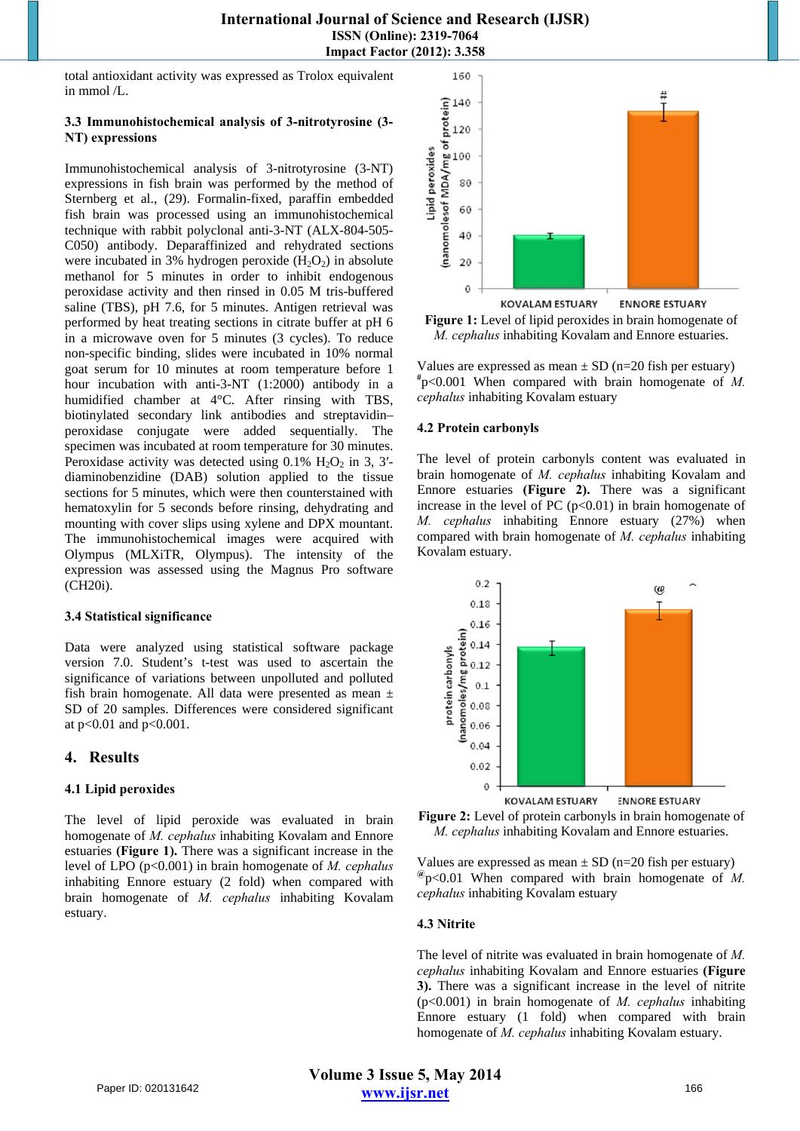total antioxidant activity was expressed as Trolox equivalent in mmol /L.

#### **3.3 Immunohistochemical analysis of 3-nitrotyrosine (3- NT) expressions**

Immunohistochemical analysis of 3-nitrotyrosine (3-NT) expressions in fish brain was performed by the method of Sternberg et al., (29). Formalin-fixed, paraffin embedded fish brain was processed using an immunohistochemical technique with rabbit polyclonal anti-3-NT (ALX-804-505- C050) antibody. Deparaffinized and rehydrated sections were incubated in 3% hydrogen peroxide  $(H_2O_2)$  in absolute methanol for 5 minutes in order to inhibit endogenous peroxidase activity and then rinsed in 0.05 M tris-buffered saline (TBS), pH 7.6, for 5 minutes. Antigen retrieval was performed by heat treating sections in citrate buffer at pH 6 in a microwave oven for 5 minutes (3 cycles). To reduce non-specific binding, slides were incubated in 10% normal goat serum for 10 minutes at room temperature before 1 hour incubation with anti-3-NT (1:2000) antibody in a humidified chamber at 4°C. After rinsing with TBS, biotinylated secondary link antibodies and streptavidin– peroxidase conjugate were added sequentially. The specimen was incubated at room temperature for 30 minutes. Peroxidase activity was detected using  $0.1\%$  H<sub>2</sub>O<sub>2</sub> in 3, 3'diaminobenzidine (DAB) solution applied to the tissue sections for 5 minutes, which were then counterstained with hematoxylin for 5 seconds before rinsing, dehydrating and mounting with cover slips using xylene and DPX mountant. The immunohistochemical images were acquired with Olympus (MLXiTR, Olympus). The intensity of the expression was assessed using the Magnus Pro software (CH20i).

#### **3.4 Statistical significance**

Data were analyzed using statistical software package version 7.0. Student's t-test was used to ascertain the significance of variations between unpolluted and polluted fish brain homogenate. All data were presented as mean ± SD of 20 samples. Differences were considered significant at p<0.01 and p<0.001.

## **4. Results**

## **4.1 Lipid peroxides**

The level of lipid peroxide was evaluated in brain homogenate of *M. cephalus* inhabiting Kovalam and Ennore estuaries **(Figure 1).** There was a significant increase in the level of LPO (p<0.001) in brain homogenate of *M. cephalus* inhabiting Ennore estuary (2 fold) when compared with brain homogenate of *M. cephalus* inhabiting Kovalam estuary.



**Figure 1:** Level of lipid peroxides in brain homogenate of *M. cephalus* inhabiting Kovalam and Ennore estuaries.

Values are expressed as mean  $\pm$  SD (n=20 fish per estuary) **#** p<0.001 When compared with brain homogenate of *M. cephalus* inhabiting Kovalam estuary

#### **4.2 Protein carbonyls**

The level of protein carbonyls content was evaluated in brain homogenate of *M. cephalus* inhabiting Kovalam and Ennore estuaries **(Figure 2).** There was a significant increase in the level of PC  $(p<0.01)$  in brain homogenate of *M. cephalus* inhabiting Ennore estuary (27%) when compared with brain homogenate of *M. cephalus* inhabiting Kovalam estuary.





Values are expressed as mean  $\pm$  SD (n=20 fish per estuary) **@**p<0.01 When compared with brain homogenate of *M. cephalus* inhabiting Kovalam estuary

#### **4.3 Nitrite**

The level of nitrite was evaluated in brain homogenate of *M. cephalus* inhabiting Kovalam and Ennore estuaries **(Figure 3).** There was a significant increase in the level of nitrite (p<0.001) in brain homogenate of *M. cephalus* inhabiting Ennore estuary (1 fold) when compared with brain homogenate of *M. cephalus* inhabiting Kovalam estuary.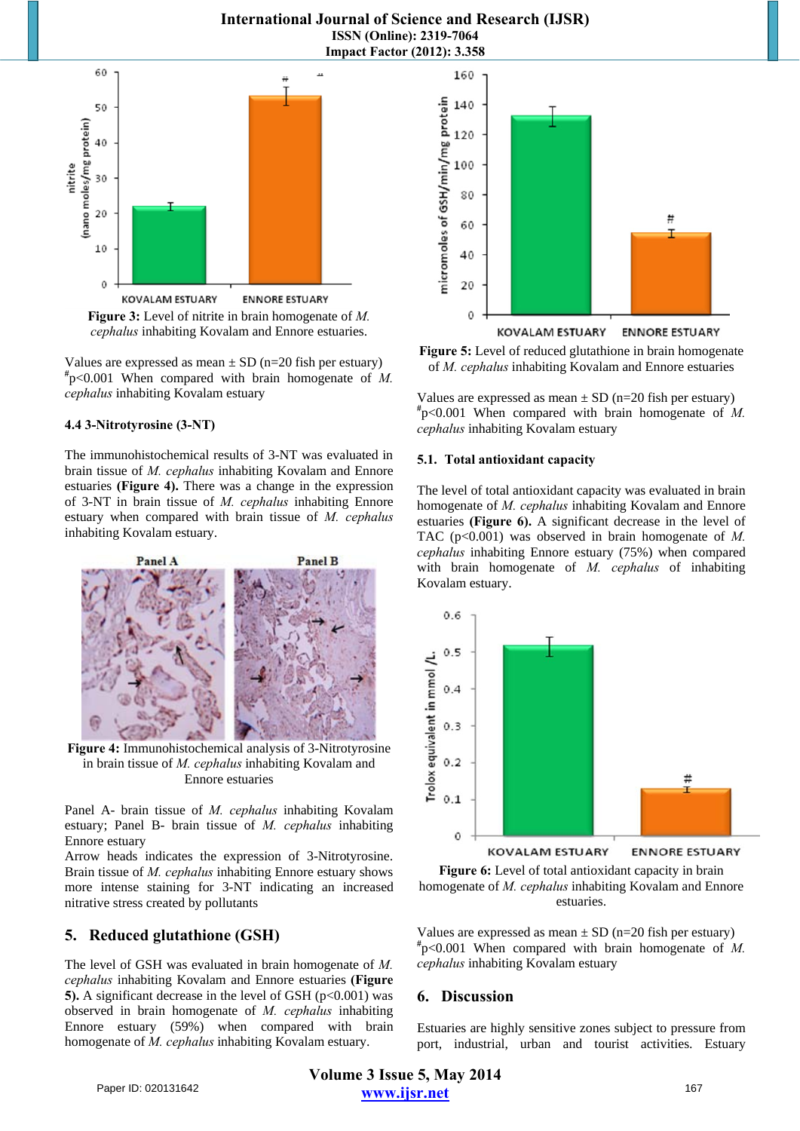## **International Journal of Science and Research (IJSR) ISSN (Online): 2319-7064 Impact Factor (2012): 3.358**



*cephalus* inhabiting Kovalam and Ennore estuaries.

Values are expressed as mean  $\pm$  SD (n=20 fish per estuary) **#** p<0.001 When compared with brain homogenate of *M. cephalus* inhabiting Kovalam estuary

#### **4.4 3-Nitrotyrosine (3-NT)**

The immunohistochemical results of 3-NT was evaluated in brain tissue of *M. cephalus* inhabiting Kovalam and Ennore estuaries **(Figure 4).** There was a change in the expression of 3-NT in brain tissue of *M. cephalus* inhabiting Ennore estuary when compared with brain tissue of *M. cephalus* inhabiting Kovalam estuary.



**Figure 4:** Immunohistochemical analysis of 3-Nitrotyrosine in brain tissue of *M. cephalus* inhabiting Kovalam and Ennore estuaries

Panel A- brain tissue of *M. cephalus* inhabiting Kovalam estuary; Panel B- brain tissue of *M. cephalus* inhabiting Ennore estuary

Arrow heads indicates the expression of 3-Nitrotyrosine. Brain tissue of *M. cephalus* inhabiting Ennore estuary shows more intense staining for 3-NT indicating an increased nitrative stress created by pollutants

## **5. Reduced glutathione (GSH)**

The level of GSH was evaluated in brain homogenate of *M. cephalus* inhabiting Kovalam and Ennore estuaries **(Figure 5).** A significant decrease in the level of GSH  $(p<0.001)$  was observed in brain homogenate of *M. cephalus* inhabiting Ennore estuary (59%) when compared with brain homogenate of *M. cephalus* inhabiting Kovalam estuary.





Values are expressed as mean  $\pm$  SD (n=20 fish per estuary) **#** p<0.001 When compared with brain homogenate of *M. cephalus* inhabiting Kovalam estuary

#### **5.1. Total antioxidant capacity**

The level of total antioxidant capacity was evaluated in brain homogenate of *M. cephalus* inhabiting Kovalam and Ennore estuaries **(Figure 6).** A significant decrease in the level of TAC (p<0.001) was observed in brain homogenate of *M. cephalus* inhabiting Ennore estuary (75%) when compared with brain homogenate of *M. cephalus* of inhabiting Kovalam estuary.





Values are expressed as mean  $\pm$  SD (n=20 fish per estuary) **#** p<0.001 When compared with brain homogenate of *M. cephalus* inhabiting Kovalam estuary

## **6. Discussion**

Estuaries are highly sensitive zones subject to pressure from port, industrial, urban and tourist activities. Estuary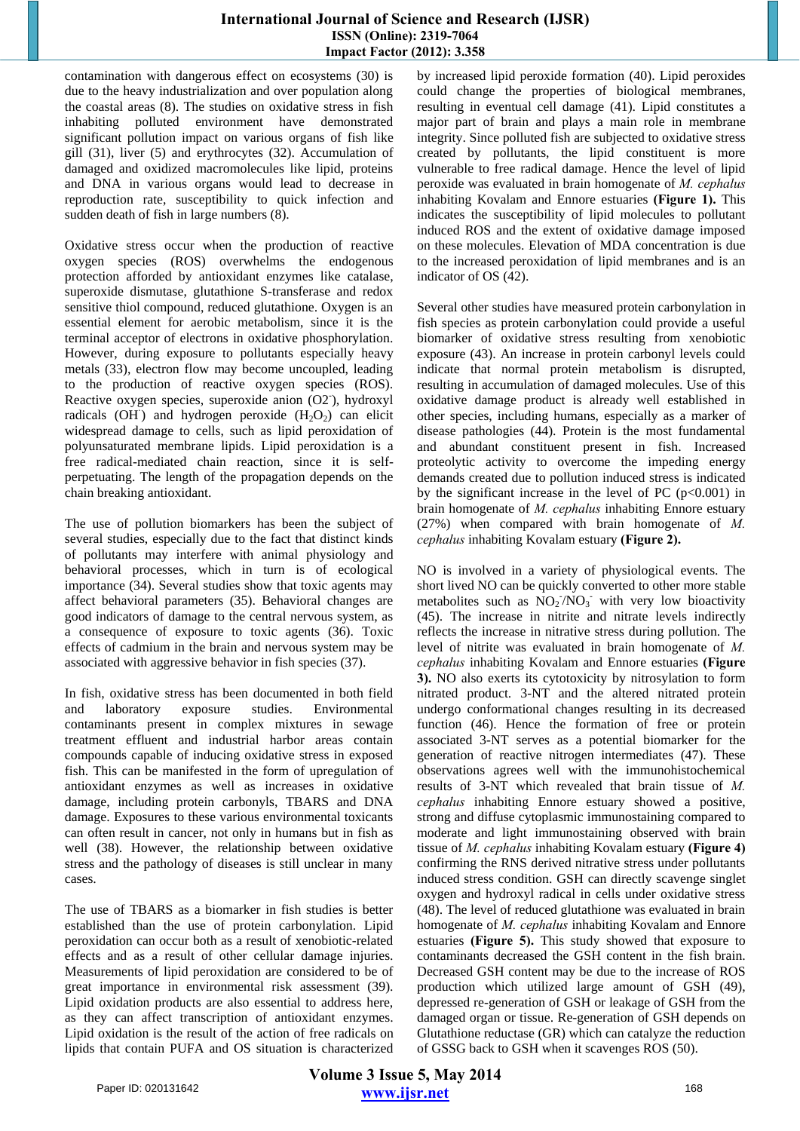contamination with dangerous effect on ecosystems (30) is due to the heavy industrialization and over population along the coastal areas (8). The studies on oxidative stress in fish inhabiting polluted environment have demonstrated significant pollution impact on various organs of fish like gill (31), liver (5) and erythrocytes (32). Accumulation of damaged and oxidized macromolecules like lipid, proteins and DNA in various organs would lead to decrease in reproduction rate, susceptibility to quick infection and sudden death of fish in large numbers (8).

Oxidative stress occur when the production of reactive oxygen species (ROS) overwhelms the endogenous protection afforded by antioxidant enzymes like catalase, superoxide dismutase, glutathione S-transferase and redox sensitive thiol compound, reduced glutathione. Oxygen is an essential element for aerobic metabolism, since it is the terminal acceptor of electrons in oxidative phosphorylation. However, during exposure to pollutants especially heavy metals (33), electron flow may become uncoupled, leading to the production of reactive oxygen species (ROS). Reactive oxygen species, superoxide anion (O2), hydroxyl radicals (OH) and hydrogen peroxide  $(H_2O_2)$  can elicit widespread damage to cells, such as lipid peroxidation of polyunsaturated membrane lipids. Lipid peroxidation is a free radical-mediated chain reaction, since it is selfperpetuating. The length of the propagation depends on the chain breaking antioxidant.

The use of pollution biomarkers has been the subject of several studies, especially due to the fact that distinct kinds of pollutants may interfere with animal physiology and behavioral processes, which in turn is of ecological importance (34). Several studies show that toxic agents may affect behavioral parameters (35). Behavioral changes are good indicators of damage to the central nervous system, as a consequence of exposure to toxic agents (36). Toxic effects of cadmium in the brain and nervous system may be associated with aggressive behavior in fish species (37).

In fish, oxidative stress has been documented in both field and laboratory exposure studies. Environmental contaminants present in complex mixtures in sewage treatment effluent and industrial harbor areas contain compounds capable of inducing oxidative stress in exposed fish. This can be manifested in the form of upregulation of antioxidant enzymes as well as increases in oxidative damage, including protein carbonyls, TBARS and DNA damage. Exposures to these various environmental toxicants can often result in cancer, not only in humans but in fish as well (38). However, the relationship between oxidative stress and the pathology of diseases is still unclear in many cases.

The use of TBARS as a biomarker in fish studies is better established than the use of protein carbonylation. Lipid peroxidation can occur both as a result of xenobiotic-related effects and as a result of other cellular damage injuries. Measurements of lipid peroxidation are considered to be of great importance in environmental risk assessment (39). Lipid oxidation products are also essential to address here, as they can affect transcription of antioxidant enzymes. Lipid oxidation is the result of the action of free radicals on lipids that contain PUFA and OS situation is characterized by increased lipid peroxide formation (40). Lipid peroxides could change the properties of biological membranes, resulting in eventual cell damage (41). Lipid constitutes a major part of brain and plays a main role in membrane integrity. Since polluted fish are subjected to oxidative stress created by pollutants, the lipid constituent is more vulnerable to free radical damage. Hence the level of lipid peroxide was evaluated in brain homogenate of *M. cephalus* inhabiting Kovalam and Ennore estuaries **(Figure 1).** This indicates the susceptibility of lipid molecules to pollutant induced ROS and the extent of oxidative damage imposed on these molecules. Elevation of MDA concentration is due to the increased peroxidation of lipid membranes and is an indicator of OS (42).

Several other studies have measured protein carbonylation in fish species as protein carbonylation could provide a useful biomarker of oxidative stress resulting from xenobiotic exposure (43). An increase in protein carbonyl levels could indicate that normal protein metabolism is disrupted, resulting in accumulation of damaged molecules. Use of this oxidative damage product is already well established in other species, including humans, especially as a marker of disease pathologies (44). Protein is the most fundamental and abundant constituent present in fish. Increased proteolytic activity to overcome the impeding energy demands created due to pollution induced stress is indicated by the significant increase in the level of PC  $(p<0.001)$  in brain homogenate of *M. cephalus* inhabiting Ennore estuary (27%) when compared with brain homogenate of *M. cephalus* inhabiting Kovalam estuary **(Figure 2).** 

NO is involved in a variety of physiological events. The short lived NO can be quickly converted to other more stable metabolites such as  $\overline{NO_2/NO_3}$  with very low bioactivity (45). The increase in nitrite and nitrate levels indirectly reflects the increase in nitrative stress during pollution. The level of nitrite was evaluated in brain homogenate of *M. cephalus* inhabiting Kovalam and Ennore estuaries **(Figure 3).** NO also exerts its cytotoxicity by nitrosylation to form nitrated product. 3-NT and the altered nitrated protein undergo conformational changes resulting in its decreased function (46). Hence the formation of free or protein associated 3-NT serves as a potential biomarker for the generation of reactive nitrogen intermediates (47). These observations agrees well with the immunohistochemical results of 3-NT which revealed that brain tissue of *M. cephalus* inhabiting Ennore estuary showed a positive, strong and diffuse cytoplasmic immunostaining compared to moderate and light immunostaining observed with brain tissue of *M. cephalus* inhabiting Kovalam estuary **(Figure 4)** confirming the RNS derived nitrative stress under pollutants induced stress condition. GSH can directly scavenge singlet oxygen and hydroxyl radical in cells under oxidative stress (48). The level of reduced glutathione was evaluated in brain homogenate of *M. cephalus* inhabiting Kovalam and Ennore estuaries **(Figure 5).** This study showed that exposure to contaminants decreased the GSH content in the fish brain. Decreased GSH content may be due to the increase of ROS production which utilized large amount of GSH (49), depressed re-generation of GSH or leakage of GSH from the damaged organ or tissue. Re-generation of GSH depends on Glutathione reductase (GR) which can catalyze the reduction of GSSG back to GSH when it scavenges ROS (50).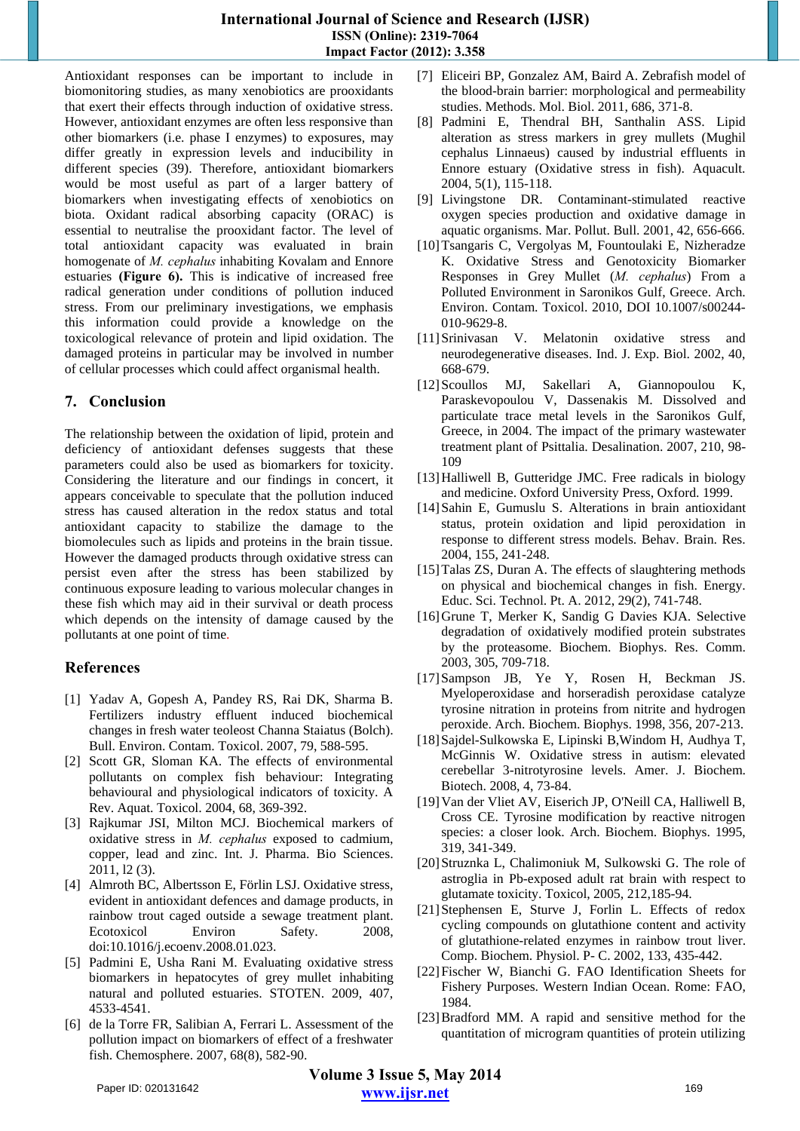## **International Journal of Science and Research (IJSR) ISSN (Online): 2319-7064 Impact Factor (2012): 3.358**

Antioxidant responses can be important to include in biomonitoring studies, as many xenobiotics are prooxidants that exert their effects through induction of oxidative stress. However, antioxidant enzymes are often less responsive than other biomarkers (i.e. phase I enzymes) to exposures, may differ greatly in expression levels and inducibility in different species (39). Therefore, antioxidant biomarkers would be most useful as part of a larger battery of biomarkers when investigating effects of xenobiotics on biota. Oxidant radical absorbing capacity (ORAC) is essential to neutralise the prooxidant factor. The level of total antioxidant capacity was evaluated in brain homogenate of *M. cephalus* inhabiting Kovalam and Ennore estuaries **(Figure 6).** This is indicative of increased free radical generation under conditions of pollution induced stress. From our preliminary investigations, we emphasis this information could provide a knowledge on the toxicological relevance of protein and lipid oxidation. The damaged proteins in particular may be involved in number of cellular processes which could affect organismal health.

# **7. Conclusion**

The relationship between the oxidation of lipid, protein and deficiency of antioxidant defenses suggests that these parameters could also be used as biomarkers for toxicity. Considering the literature and our findings in concert, it appears conceivable to speculate that the pollution induced stress has caused alteration in the redox status and total antioxidant capacity to stabilize the damage to the biomolecules such as lipids and proteins in the brain tissue. However the damaged products through oxidative stress can persist even after the stress has been stabilized by continuous exposure leading to various molecular changes in these fish which may aid in their survival or death process which depends on the intensity of damage caused by the pollutants at one point of time.

# **References**

- [1] Yadav A, Gopesh A, Pandey RS, Rai DK, Sharma B. Fertilizers industry effluent induced biochemical changes in fresh water teoleost Channa Staiatus (Bolch). Bull. Environ. Contam. Toxicol. 2007, 79, 588-595.
- [2] Scott GR, Sloman KA. The effects of environmental pollutants on complex fish behaviour: Integrating behavioural and physiological indicators of toxicity. A Rev. Aquat. Toxicol. 2004, 68, 369-392.
- [3] Rajkumar JSI, Milton MCJ. Biochemical markers of oxidative stress in *M. cephalus* exposed to cadmium, copper, lead and zinc. Int. J. Pharma. Bio Sciences. 2011, l2 (3).
- [4] Almroth BC, Albertsson E, Förlin LSJ. Oxidative stress, evident in antioxidant defences and damage products, in rainbow trout caged outside a sewage treatment plant. Ecotoxicol Environ Safety. 2008, doi:10.1016/j.ecoenv.2008.01.023.
- [5] Padmini E, Usha Rani M. Evaluating oxidative stress biomarkers in hepatocytes of grey mullet inhabiting natural and polluted estuaries. STOTEN. 2009, 407, 4533-4541.
- [6] de la Torre FR, Salibian A, Ferrari L. Assessment of the pollution impact on biomarkers of effect of a freshwater fish. Chemosphere. 2007, 68(8), 582-90.
- [7] Eliceiri BP, Gonzalez AM, Baird A. Zebrafish model of the blood-brain barrier: morphological and permeability studies. Methods. Mol. Biol. 2011, 686, 371-8.
- [8] Padmini E, Thendral BH, Santhalin ASS. Lipid alteration as stress markers in grey mullets (Mughil cephalus Linnaeus) caused by industrial effluents in Ennore estuary (Oxidative stress in fish). Aquacult. 2004, 5(1), 115-118.
- [9] Livingstone DR. Contaminant-stimulated reactive oxygen species production and oxidative damage in aquatic organisms. Mar. Pollut. Bull. 2001, 42, 656-666.
- [10]Tsangaris C, Vergolyas M, Fountoulaki E, Nizheradze K. Oxidative Stress and Genotoxicity Biomarker Responses in Grey Mullet (*M. cephalus*) From a Polluted Environment in Saronikos Gulf, Greece. Arch. Environ. Contam. Toxicol. 2010, DOI 10.1007/s00244- 010-9629-8.
- [11]Srinivasan V. Melatonin oxidative stress and neurodegenerative diseases. Ind. J. Exp. Biol. 2002, 40, 668-679.
- [12]Scoullos MJ, Sakellari A, Giannopoulou K, Paraskevopoulou V, Dassenakis M. Dissolved and particulate trace metal levels in the Saronikos Gulf, Greece, in 2004. The impact of the primary wastewater treatment plant of Psittalia. Desalination. 2007, 210, 98- 109
- [13] Halliwell B, Gutteridge JMC. Free radicals in biology and medicine. Oxford University Press, Oxford. 1999.
- [14]Sahin E, Gumuslu S. Alterations in brain antioxidant status, protein oxidation and lipid peroxidation in response to different stress models. Behav. Brain. Res. 2004, 155, 241-248.
- [15] Talas ZS, Duran A. The effects of slaughtering methods on physical and biochemical changes in fish. Energy. Educ. Sci. Technol. Pt. A. 2012, 29(2), 741-748.
- [16]Grune T, Merker K, Sandig G Davies KJA. Selective degradation of oxidatively modified protein substrates by the proteasome. Biochem. Biophys. Res. Comm. 2003, 305, 709-718.
- [17]Sampson JB, Ye Y, Rosen H, Beckman JS. Myeloperoxidase and horseradish peroxidase catalyze tyrosine nitration in proteins from nitrite and hydrogen peroxide. Arch. Biochem. Biophys. 1998, 356, 207-213.
- [18]Sajdel-Sulkowska E, Lipinski B,Windom H, Audhya T, McGinnis W. Oxidative stress in autism: elevated cerebellar 3-nitrotyrosine levels. Amer. J. Biochem. Biotech. 2008, 4, 73-84.
- [19]Van der Vliet AV, Eiserich JP, O'Neill CA, Halliwell B, Cross CE. Tyrosine modification by reactive nitrogen species: a closer look. Arch. Biochem. Biophys. 1995, 319, 341-349.
- [20]Struznka L, Chalimoniuk M, Sulkowski G. The role of astroglia in Pb-exposed adult rat brain with respect to glutamate toxicity. Toxicol, 2005, 212,185-94.
- [21]Stephensen E, Sturve J, Forlin L. Effects of redox cycling compounds on glutathione content and activity of glutathione-related enzymes in rainbow trout liver. Comp. Biochem. Physiol. P- C. 2002, 133, 435-442.
- [22]Fischer W, Bianchi G. FAO Identification Sheets for Fishery Purposes. Western Indian Ocean. Rome: FAO, 1984.
- [23]Bradford MM. A rapid and sensitive method for the quantitation of microgram quantities of protein utilizing